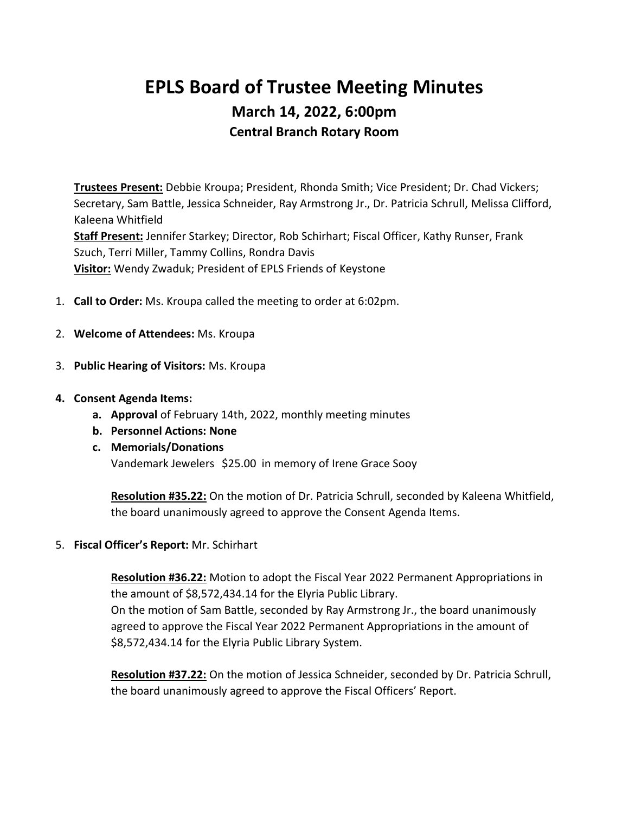# **EPLS Board of Trustee Meeting Minutes March 14, 2022, 6:00pm Central Branch Rotary Room**

**Trustees Present:** Debbie Kroupa; President, Rhonda Smith; Vice President; Dr. Chad Vickers; Secretary, Sam Battle, Jessica Schneider, Ray Armstrong Jr., Dr. Patricia Schrull, Melissa Clifford, Kaleena Whitfield **Staff Present:** Jennifer Starkey; Director, Rob Schirhart; Fiscal Officer, Kathy Runser, Frank Szuch, Terri Miller, Tammy Collins, Rondra Davis **Visitor:** Wendy Zwaduk; President of EPLS Friends of Keystone

- 1. **Call to Order:** Ms. Kroupa called the meeting to order at 6:02pm.
- 2. **Welcome of Attendees:** Ms. Kroupa
- 3. **Public Hearing of Visitors:** Ms. Kroupa
- **4. Consent Agenda Items:**
	- **a. Approval** of February 14th, 2022, monthly meeting minutes
	- **b. Personnel Actions: None**
	- **c. Memorials/Donations** Vandemark Jewelers \$25.00 in memory of Irene Grace Sooy

**Resolution #35.22:** On the motion of Dr. Patricia Schrull, seconded by Kaleena Whitfield, the board unanimously agreed to approve the Consent Agenda Items.

## 5. **Fiscal Officer's Report:** Mr. Schirhart

**Resolution #36.22:** Motion to adopt the Fiscal Year 2022 Permanent Appropriations in the amount of \$8,572,434.14 for the Elyria Public Library. On the motion of Sam Battle, seconded by Ray Armstrong Jr., the board unanimously agreed to approve the Fiscal Year 2022 Permanent Appropriations in the amount of \$8,572,434.14 for the Elyria Public Library System.

**Resolution #37.22:** On the motion of Jessica Schneider, seconded by Dr. Patricia Schrull, the board unanimously agreed to approve the Fiscal Officers' Report.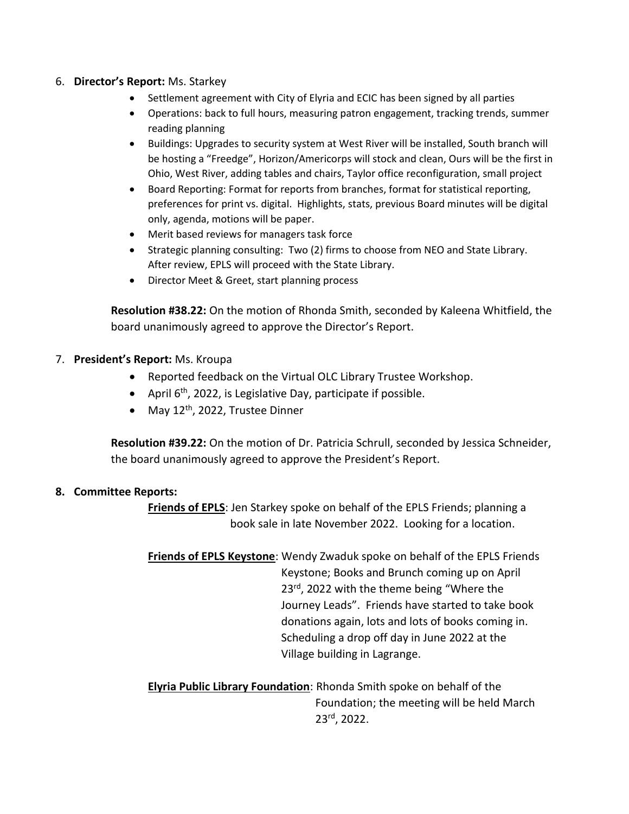## 6. **Director's Report:** Ms. Starkey

- Settlement agreement with City of Elyria and ECIC has been signed by all parties
- Operations: back to full hours, measuring patron engagement, tracking trends, summer reading planning
- Buildings: Upgrades to security system at West River will be installed, South branch will be hosting a "Freedge", Horizon/Americorps will stock and clean, Ours will be the first in Ohio, West River, adding tables and chairs, Taylor office reconfiguration, small project
- Board Reporting: Format for reports from branches, format for statistical reporting, preferences for print vs. digital. Highlights, stats, previous Board minutes will be digital only, agenda, motions will be paper.
- Merit based reviews for managers task force
- Strategic planning consulting: Two (2) firms to choose from NEO and State Library. After review, EPLS will proceed with the State Library.
- Director Meet & Greet, start planning process

**Resolution #38.22:** On the motion of Rhonda Smith, seconded by Kaleena Whitfield, the board unanimously agreed to approve the Director's Report.

- 7. **President's Report:** Ms. Kroupa
	- Reported feedback on the Virtual OLC Library Trustee Workshop.
	- April 6<sup>th</sup>, 2022, is Legislative Day, participate if possible.
	- May  $12<sup>th</sup>$ , 2022, Trustee Dinner

**Resolution #39.22:** On the motion of Dr. Patricia Schrull, seconded by Jessica Schneider, the board unanimously agreed to approve the President's Report.

## **8. Committee Reports:**

**Friends of EPLS**: Jen Starkey spoke on behalf of the EPLS Friends; planning a book sale in late November 2022. Looking for a location.

**Friends of EPLS Keystone**: Wendy Zwaduk spoke on behalf of the EPLS Friends Keystone; Books and Brunch coming up on April 23<sup>rd</sup>, 2022 with the theme being "Where the Journey Leads". Friends have started to take book donations again, lots and lots of books coming in. Scheduling a drop off day in June 2022 at the Village building in Lagrange.

**Elyria Public Library Foundation**: Rhonda Smith spoke on behalf of the Foundation; the meeting will be held March 23rd, 2022.